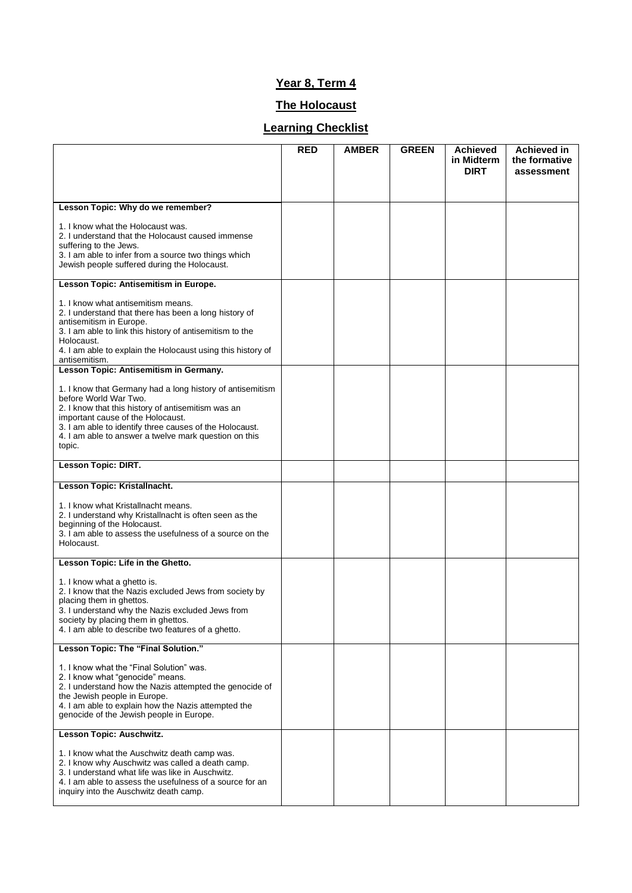## **Year 8, Term 4**

## **The Holocaust**

## **Learning Checklist**

|                                                                                                                                                                                                                                                                                                             | RED | <b>AMBER</b> | <b>GREEN</b> | <b>Achieved</b><br>in Midterm<br><b>DIRT</b> | Achieved in<br>the formative<br>assessment |
|-------------------------------------------------------------------------------------------------------------------------------------------------------------------------------------------------------------------------------------------------------------------------------------------------------------|-----|--------------|--------------|----------------------------------------------|--------------------------------------------|
|                                                                                                                                                                                                                                                                                                             |     |              |              |                                              |                                            |
| Lesson Topic: Why do we remember?                                                                                                                                                                                                                                                                           |     |              |              |                                              |                                            |
| 1. I know what the Holocaust was.<br>2. I understand that the Holocaust caused immense<br>suffering to the Jews.<br>3. I am able to infer from a source two things which<br>Jewish people suffered during the Holocaust.                                                                                    |     |              |              |                                              |                                            |
| Lesson Topic: Antisemitism in Europe.                                                                                                                                                                                                                                                                       |     |              |              |                                              |                                            |
| 1. I know what antisemitism means.<br>2. I understand that there has been a long history of<br>antisemitism in Europe.<br>3. I am able to link this history of antisemitism to the<br>Holocaust.<br>4. I am able to explain the Holocaust using this history of<br>antisemitism.                            |     |              |              |                                              |                                            |
| Lesson Topic: Antisemitism in Germany.                                                                                                                                                                                                                                                                      |     |              |              |                                              |                                            |
| 1. I know that Germany had a long history of antisemitism<br>before World War Two.<br>2. I know that this history of antisemitism was an<br>important cause of the Holocaust.<br>3. I am able to identify three causes of the Holocaust.<br>4. I am able to answer a twelve mark question on this<br>topic. |     |              |              |                                              |                                            |
| Lesson Topic: DIRT.                                                                                                                                                                                                                                                                                         |     |              |              |                                              |                                            |
| Lesson Topic: Kristallnacht.                                                                                                                                                                                                                                                                                |     |              |              |                                              |                                            |
| 1. I know what Kristallnacht means.<br>2. I understand why Kristallnacht is often seen as the<br>beginning of the Holocaust.<br>3. I am able to assess the usefulness of a source on the<br>Holocaust.                                                                                                      |     |              |              |                                              |                                            |
| Lesson Topic: Life in the Ghetto.                                                                                                                                                                                                                                                                           |     |              |              |                                              |                                            |
| 1. I know what a ghetto is.<br>2. I know that the Nazis excluded Jews from society by<br>placing them in ghettos.<br>3. I understand why the Nazis excluded Jews from<br>society by placing them in ghettos.<br>4. I am able to describe two features of a ghetto.                                          |     |              |              |                                              |                                            |
| Lesson Topic: The "Final Solution."                                                                                                                                                                                                                                                                         |     |              |              |                                              |                                            |
| 1. I know what the "Final Solution" was.<br>2. I know what "genocide" means.<br>2. I understand how the Nazis attempted the genocide of<br>the Jewish people in Europe.<br>4. I am able to explain how the Nazis attempted the<br>genocide of the Jewish people in Europe.                                  |     |              |              |                                              |                                            |
| Lesson Topic: Auschwitz.                                                                                                                                                                                                                                                                                    |     |              |              |                                              |                                            |
| 1. I know what the Auschwitz death camp was.<br>2. I know why Auschwitz was called a death camp.<br>3. I understand what life was like in Auschwitz.<br>4. I am able to assess the usefulness of a source for an<br>inguiry into the Auschwitz death camp.                                                  |     |              |              |                                              |                                            |